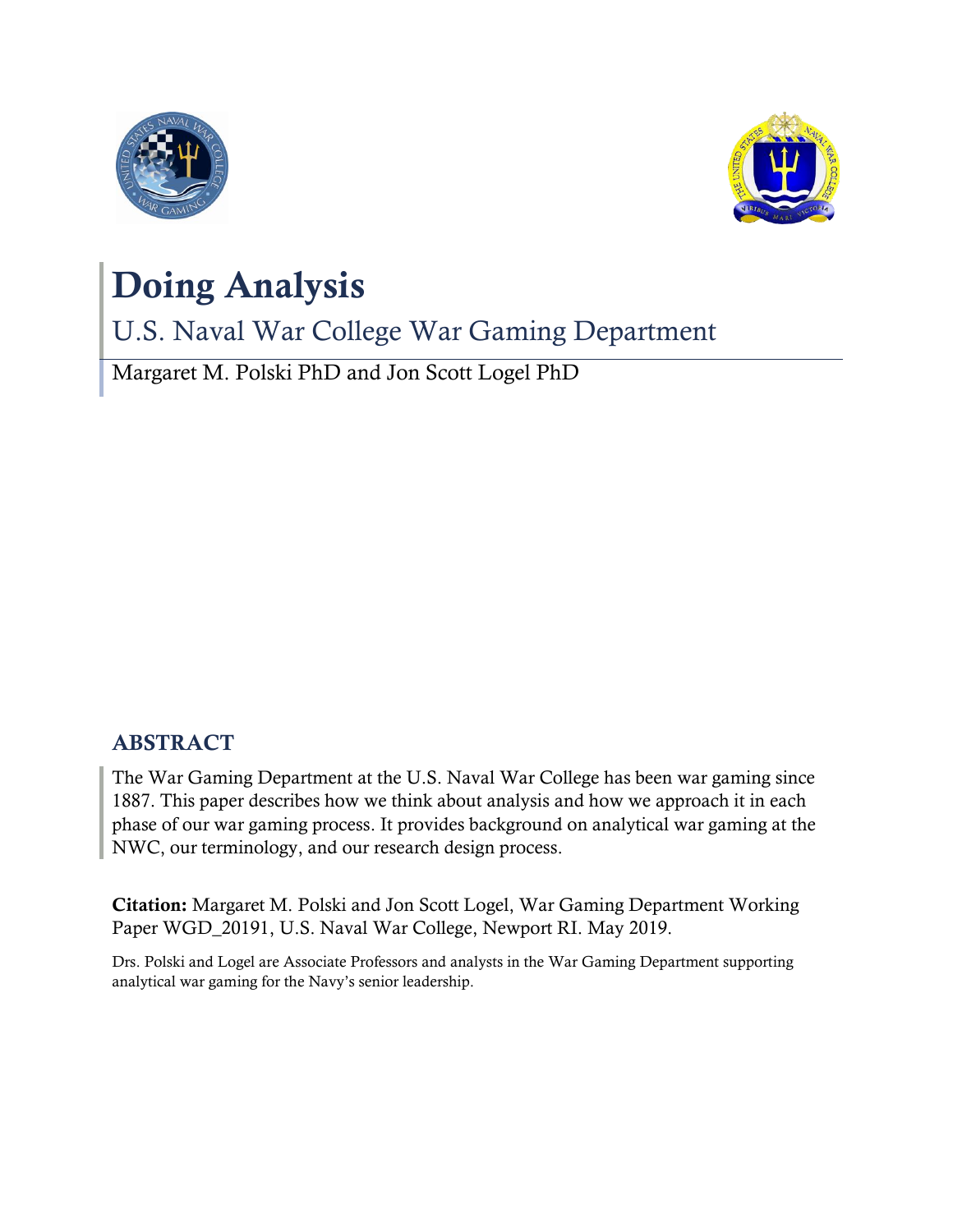



# Doing Analysis

U.S. Naval War College War Gaming Department

Margaret M. Polski PhD and Jon Scott Logel PhD

# ABSTRACT

The War Gaming Department at the U.S. Naval War College has been war gaming since 1887. This paper describes how we think about analysis and how we approach it in each phase of our war gaming process. It provides background on analytical war gaming at the NWC, our terminology, and our research design process.

Citation: Margaret M. Polski and Jon Scott Logel, War Gaming Department Working Paper WGD\_20191, U.S. Naval War College, Newport RI. May 2019.

Drs. Polski and Logel are Associate Professors and analysts in the War Gaming Department supporting analytical war gaming for the Navy's senior leadership.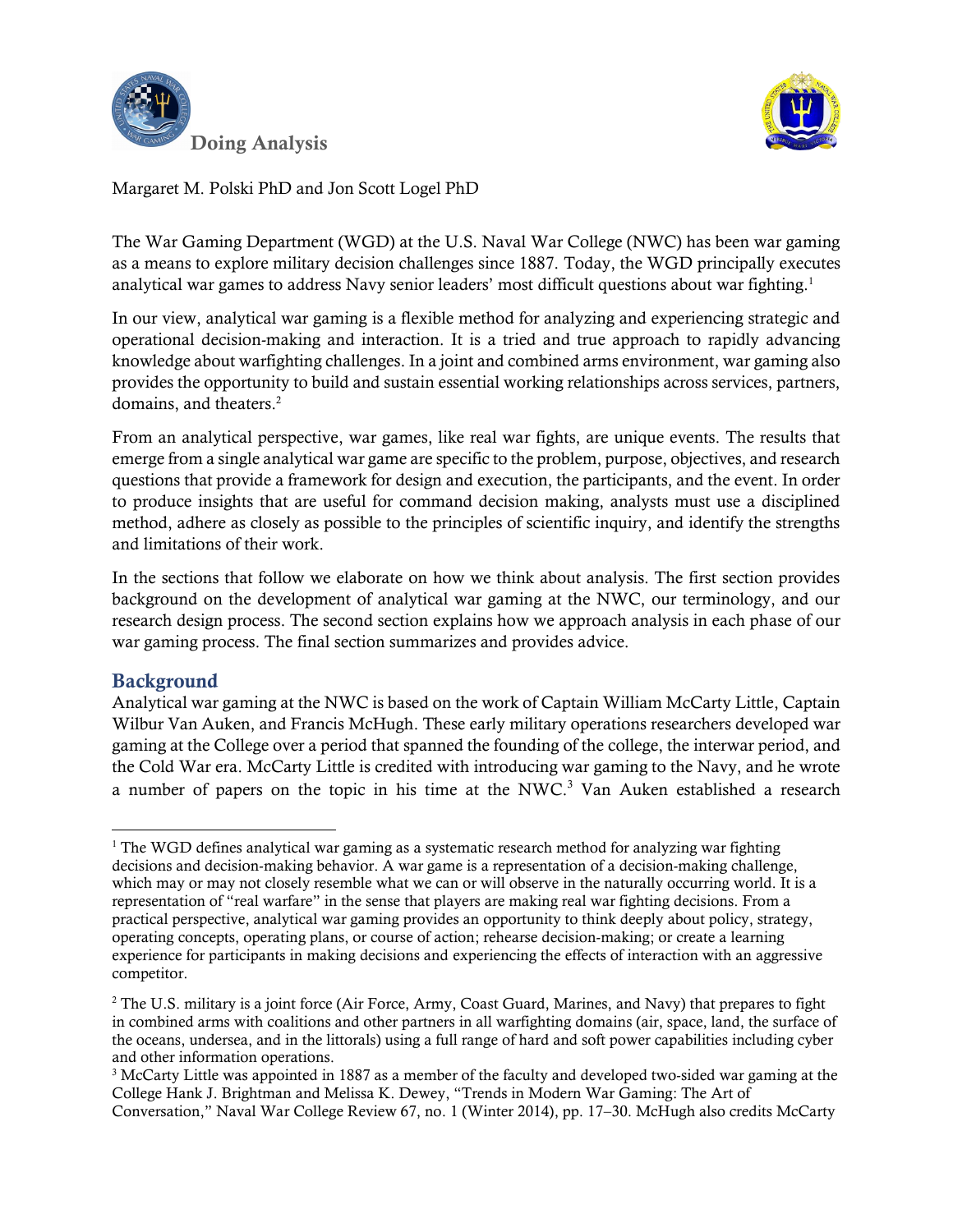



The War Gaming Department (WGD) at the U.S. Naval War College (NWC) has been war gaming as a means to explore military decision challenges since 1887. Today, the WGD principally executes analytical war games to address Navy senior leaders' most difficult questions about war fighting.<sup>1</sup>

In our view, analytical war gaming is a flexible method for analyzing and experiencing strategic and operational decision-making and interaction. It is a tried and true approach to rapidly advancing knowledge about warfighting challenges. In a joint and combined arms environment, war gaming also provides the opportunity to build and sustain essential working relationships across services, partners, domains, and theaters.<sup>2</sup>

From an analytical perspective, war games, like real war fights, are unique events. The results that emerge from a single analytical war game are specific to the problem, purpose, objectives, and research questions that provide a framework for design and execution, the participants, and the event. In order to produce insights that are useful for command decision making, analysts must use a disciplined method, adhere as closely as possible to the principles of scientific inquiry, and identify the strengths and limitations of their work.

In the sections that follow we elaborate on how we think about analysis. The first section provides background on the development of analytical war gaming at the NWC, our terminology, and our research design process. The second section explains how we approach analysis in each phase of our war gaming process. The final section summarizes and provides advice.

# Background

l

Analytical war gaming at the NWC is based on the work of Captain William McCarty Little, Captain Wilbur Van Auken, and Francis McHugh. These early military operations researchers developed war gaming at the College over a period that spanned the founding of the college, the interwar period, and the Cold War era. McCarty Little is credited with introducing war gaming to the Navy, and he wrote a number of papers on the topic in his time at the NWC.<sup>3</sup> Van Auken established a research

<sup>&</sup>lt;sup>1</sup> The WGD defines analytical war gaming as a systematic research method for analyzing war fighting decisions and decision-making behavior. A war game is a representation of a decision-making challenge, which may or may not closely resemble what we can or will observe in the naturally occurring world. It is a representation of "real warfare" in the sense that players are making real war fighting decisions. From a practical perspective, analytical war gaming provides an opportunity to think deeply about policy, strategy, operating concepts, operating plans, or course of action; rehearse decision-making; or create a learning experience for participants in making decisions and experiencing the effects of interaction with an aggressive competitor.

<sup>&</sup>lt;sup>2</sup> The U.S. military is a joint force (Air Force, Army, Coast Guard, Marines, and Navy) that prepares to fight in combined arms with coalitions and other partners in all warfighting domains (air, space, land, the surface of the oceans, undersea, and in the littorals) using a full range of hard and soft power capabilities including cyber and other information operations.

<sup>3</sup> McCarty Little was appointed in 1887 as a member of the faculty and developed two-sided war gaming at the College Hank J. Brightman and Melissa K. Dewey, "Trends in Modern War Gaming: The Art of Conversation," Naval War College Review 67, no. 1 (Winter 2014), pp. 17–30. McHugh also credits McCarty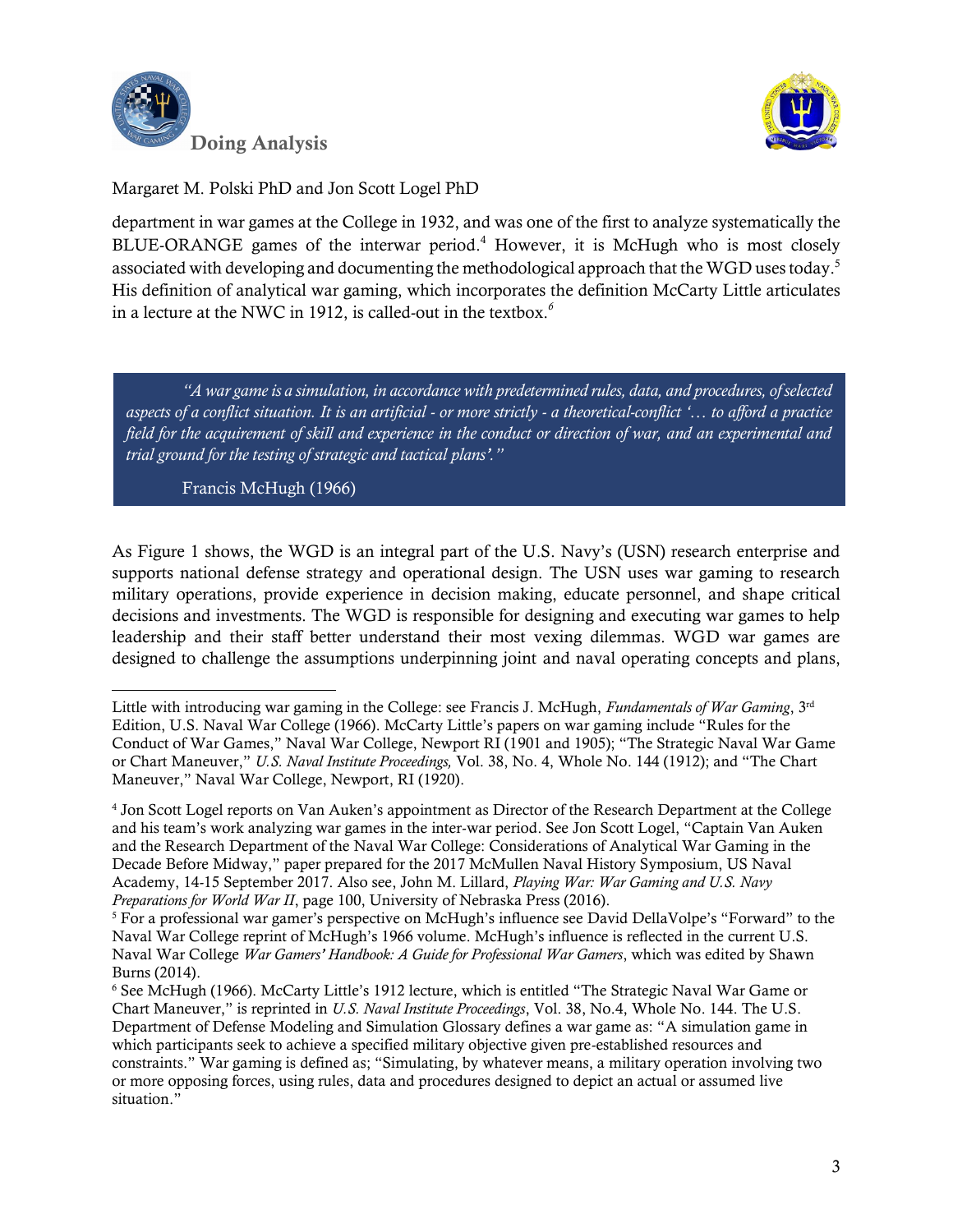



department in war games at the College in 1932, and was one of the first to analyze systematically the BLUE-ORANGE games of the interwar period. <sup>4</sup> However, it is McHugh who is most closely associated with developing and documenting the methodological approach that the WGD uses today.<sup>5</sup> His definition of analytical war gaming, which incorporates the definition McCarty Little articulates in a lecture at the NWC in 1912, is called-out in the textbox.*<sup>6</sup>*

*"A war game is a simulation, in accordance with predetermined rules, data, and procedures, of selected aspects of a conflict situation. It is an artificial - or more strictly - a theoretical-conflict '… to afford a practice field for the acquirement of skill and experience in the conduct or direction of war, and an experimental and trial ground for the testing of strategic and tactical plans'."*

Francis McHugh (1966)

l

As Figure 1 shows, the WGD is an integral part of the U.S. Navy's (USN) research enterprise and supports national defense strategy and operational design. The USN uses war gaming to research military operations, provide experience in decision making, educate personnel, and shape critical decisions and investments. The WGD is responsible for designing and executing war games to help leadership and their staff better understand their most vexing dilemmas. WGD war games are designed to challenge the assumptions underpinning joint and naval operating concepts and plans,

Little with introducing war gaming in the College: see Francis J. McHugh, *Fundamentals of War Gaming*, 3rd Edition, U.S. Naval War College (1966). McCarty Little's papers on war gaming include "Rules for the Conduct of War Games," Naval War College, Newport RI (1901 and 1905); "The Strategic Naval War Game or Chart Maneuver," *U.S. Naval Institute Proceedings,* Vol. 38, No. 4, Whole No. 144 (1912); and "The Chart Maneuver," Naval War College, Newport, RI (1920).

<sup>4</sup> Jon Scott Logel reports on Van Auken's appointment as Director of the Research Department at the College and his team's work analyzing war games in the inter-war period. See Jon Scott Logel, "Captain Van Auken and the Research Department of the Naval War College: Considerations of Analytical War Gaming in the Decade Before Midway," paper prepared for the 2017 McMullen Naval History Symposium, US Naval Academy, 14-15 September 2017. Also see, John M. Lillard, *Playing War: War Gaming and U.S. Navy Preparations for World War II*, page 100, University of Nebraska Press (2016).

<sup>5</sup> For a professional war gamer's perspective on McHugh's influence see David DellaVolpe's "Forward" to the Naval War College reprint of McHugh's 1966 volume. McHugh's influence is reflected in the current U.S. Naval War College *War Gamers' Handbook: A Guide for Professional War Gamers*, which was edited by Shawn Burns (2014).

<sup>6</sup> See McHugh (1966). McCarty Little's 1912 lecture, which is entitled "The Strategic Naval War Game or Chart Maneuver," is reprinted in *U.S. Naval Institute Proceedings*, Vol. 38, No.4, Whole No. 144. The U.S. Department of Defense Modeling and Simulation Glossary defines a war game as: "A simulation game in which participants seek to achieve a specified military objective given pre-established resources and constraints." War gaming is defined as; "Simulating, by whatever means, a military operation involving two or more opposing forces, using rules, data and procedures designed to depict an actual or assumed live situation."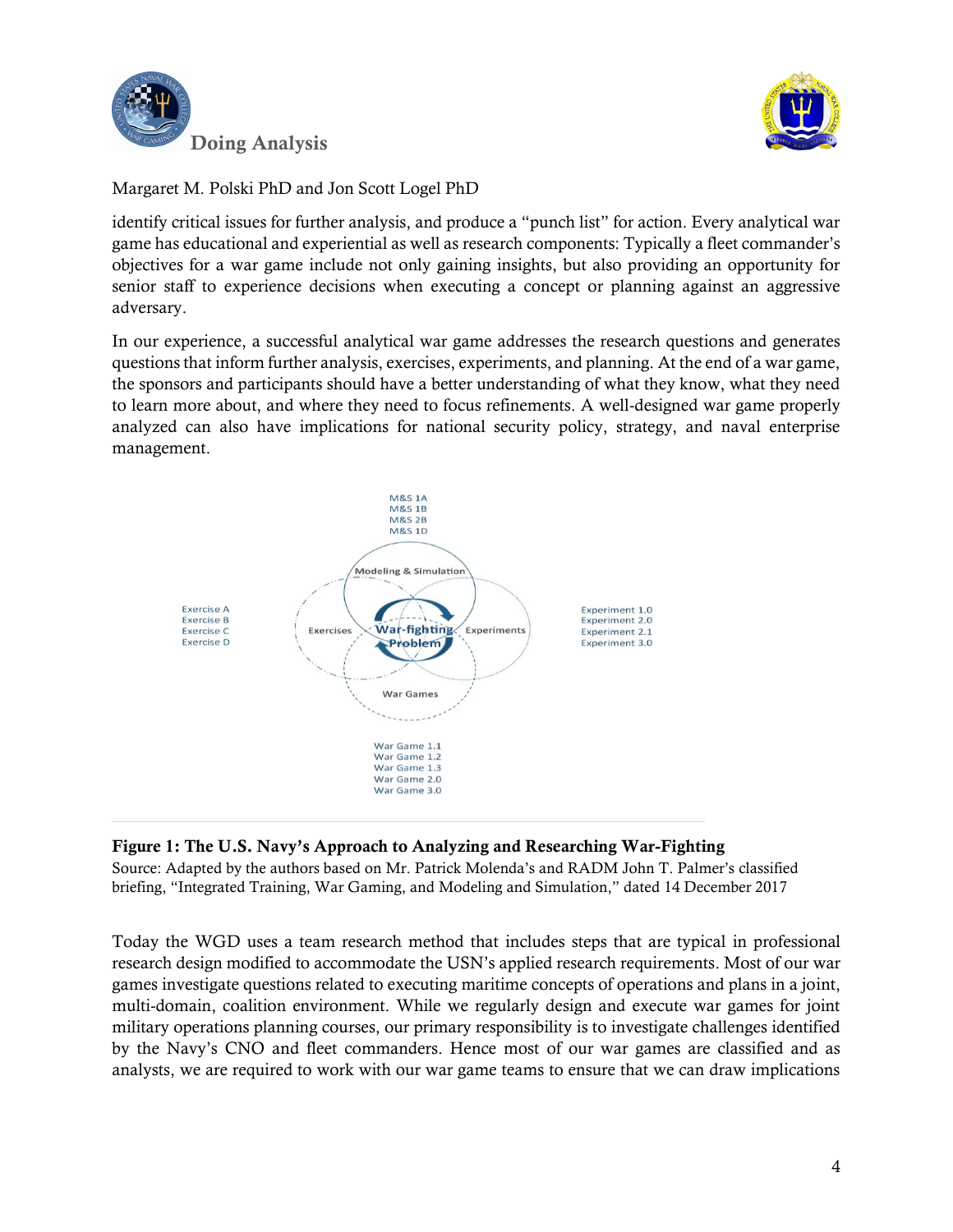



identify critical issues for further analysis, and produce a "punch list" for action. Every analytical war game has educational and experiential as well as research components: Typically a fleet commander's objectives for a war game include not only gaining insights, but also providing an opportunity for senior staff to experience decisions when executing a concept or planning against an aggressive adversary.

In our experience, a successful analytical war game addresses the research questions and generates questions that inform further analysis, exercises, experiments, and planning. At the end of a war game, the sponsors and participants should have a better understanding of what they know, what they need to learn more about, and where they need to focus refinements. A well-designed war game properly analyzed can also have implications for national security policy, strategy, and naval enterprise management.



#### Figure 1: The U.S. Navy's Approach to Analyzing and Researching War-Fighting

Source: Adapted by the authors based on Mr. Patrick Molenda's and RADM John T. Palmer's classified briefing, "Integrated Training, War Gaming, and Modeling and Simulation," dated 14 December 2017

Today the WGD uses a team research method that includes steps that are typical in professional research design modified to accommodate the USN's applied research requirements. Most of our war games investigate questions related to executing maritime concepts of operations and plans in a joint, multi-domain, coalition environment. While we regularly design and execute war games for joint military operations planning courses, our primary responsibility is to investigate challenges identified by the Navy's CNO and fleet commanders. Hence most of our war games are classified and as analysts, we are required to work with our war game teams to ensure that we can draw implications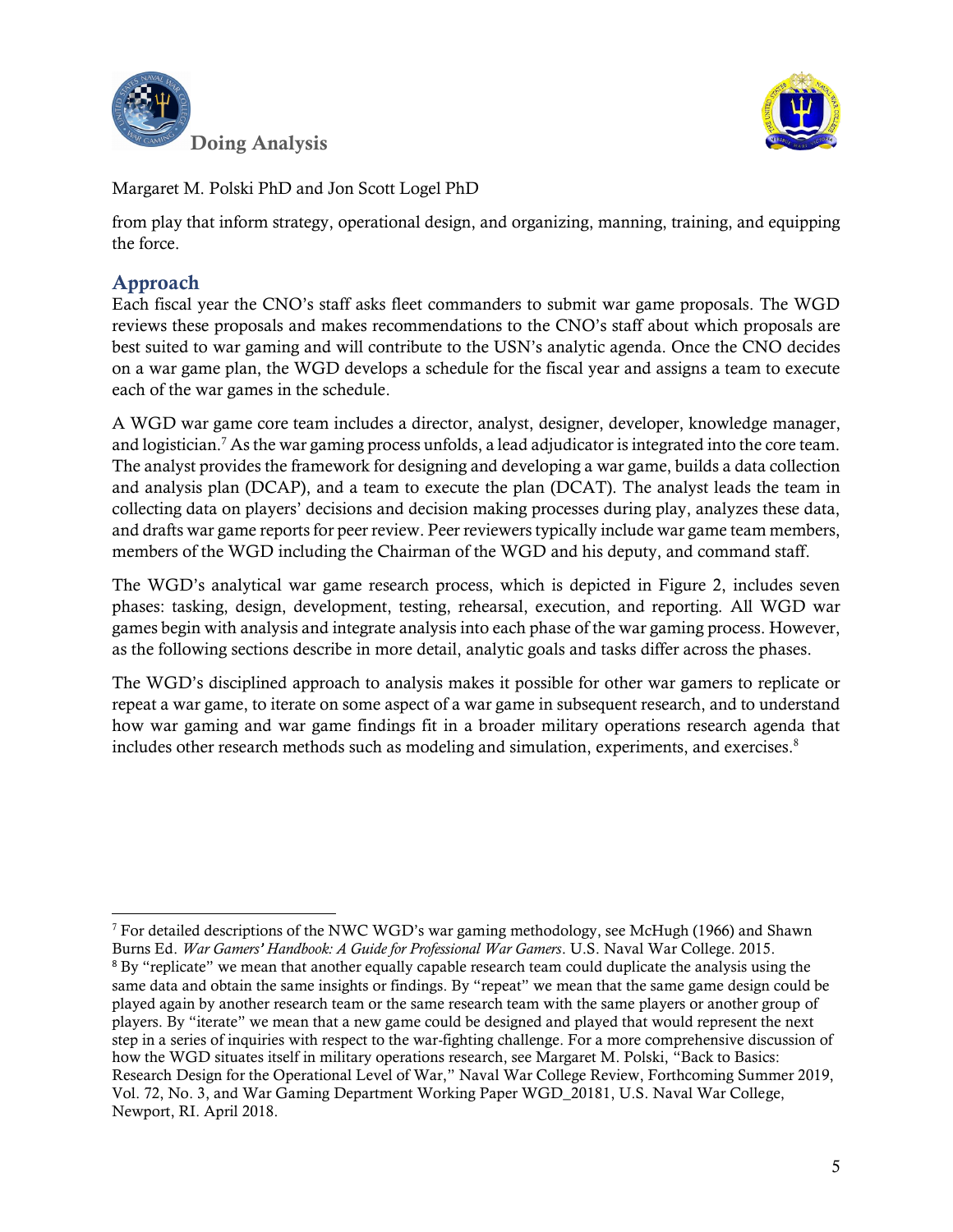



from play that inform strategy, operational design, and organizing, manning, training, and equipping the force.

# Approach

Each fiscal year the CNO's staff asks fleet commanders to submit war game proposals. The WGD reviews these proposals and makes recommendations to the CNO's staff about which proposals are best suited to war gaming and will contribute to the USN's analytic agenda. Once the CNO decides on a war game plan, the WGD develops a schedule for the fiscal year and assigns a team to execute each of the war games in the schedule.

A WGD war game core team includes a director, analyst, designer, developer, knowledge manager, and logistician.<sup>7</sup> As the war gaming process unfolds, a lead adjudicator is integrated into the core team. The analyst provides the framework for designing and developing a war game, builds a data collection and analysis plan (DCAP), and a team to execute the plan (DCAT). The analyst leads the team in collecting data on players' decisions and decision making processes during play, analyzes these data, and drafts war game reports for peer review. Peer reviewers typically include war game team members, members of the WGD including the Chairman of the WGD and his deputy, and command staff.

The WGD's analytical war game research process, which is depicted in Figure 2, includes seven phases: tasking, design, development, testing, rehearsal, execution, and reporting. All WGD war games begin with analysis and integrate analysis into each phase of the war gaming process. However, as the following sections describe in more detail, analytic goals and tasks differ across the phases.

The WGD's disciplined approach to analysis makes it possible for other war gamers to replicate or repeat a war game, to iterate on some aspect of a war game in subsequent research, and to understand how war gaming and war game findings fit in a broader military operations research agenda that includes other research methods such as modeling and simulation, experiments, and exercises.<sup>8</sup>

 $\overline{a}$  $^7$  For detailed descriptions of the NWC WGD's war gaming methodology, see McHugh (1966) and Shawn Burns Ed. *War Gamers' Handbook: A Guide for Professional War Gamers*. U.S. Naval War College. 2015. <sup>8</sup> By "replicate" we mean that another equally capable research team could duplicate the analysis using the same data and obtain the same insights or findings. By "repeat" we mean that the same game design could be played again by another research team or the same research team with the same players or another group of players. By "iterate" we mean that a new game could be designed and played that would represent the next step in a series of inquiries with respect to the war-fighting challenge. For a more comprehensive discussion of how the WGD situates itself in military operations research, see Margaret M. Polski, "Back to Basics: Research Design for the Operational Level of War," Naval War College Review, Forthcoming Summer 2019, Vol. 72, No. 3, and War Gaming Department Working Paper WGD\_20181, U.S. Naval War College, Newport, RI. April 2018.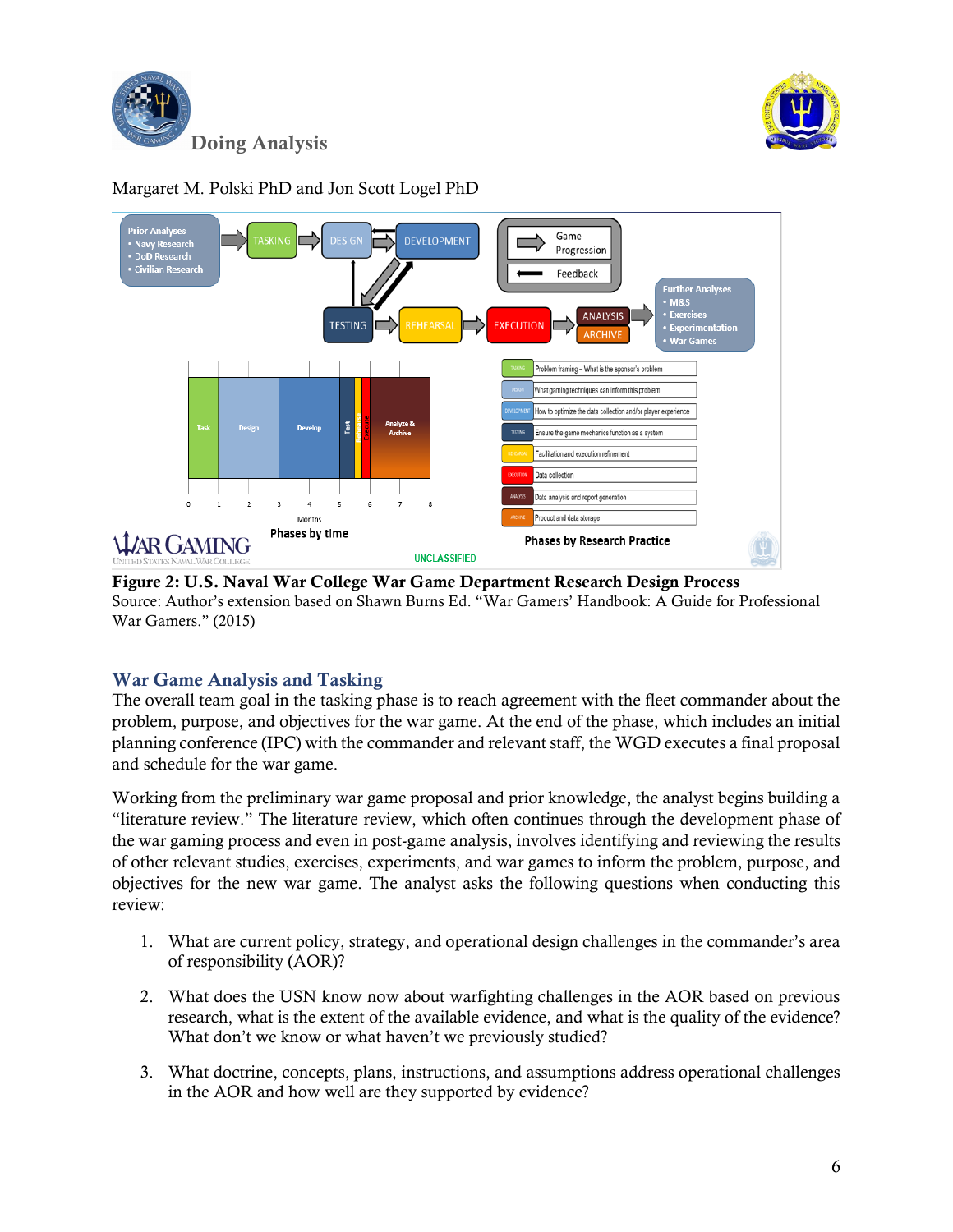





Figure 2: U.S. Naval War College War Game Department Research Design Process Source: Author's extension based on Shawn Burns Ed. "War Gamers' Handbook: A Guide for Professional War Gamers." (2015)

# War Game Analysis and Tasking

The overall team goal in the tasking phase is to reach agreement with the fleet commander about the problem, purpose, and objectives for the war game. At the end of the phase, which includes an initial planning conference (IPC) with the commander and relevant staff, the WGD executes a final proposal and schedule for the war game.

Working from the preliminary war game proposal and prior knowledge, the analyst begins building a "literature review." The literature review, which often continues through the development phase of the war gaming process and even in post-game analysis, involves identifying and reviewing the results of other relevant studies, exercises, experiments, and war games to inform the problem, purpose, and objectives for the new war game. The analyst asks the following questions when conducting this review:

- 1. What are current policy, strategy, and operational design challenges in the commander's area of responsibility (AOR)?
- 2. What does the USN know now about warfighting challenges in the AOR based on previous research, what is the extent of the available evidence, and what is the quality of the evidence? What don't we know or what haven't we previously studied?
- 3. What doctrine, concepts, plans, instructions, and assumptions address operational challenges in the AOR and how well are they supported by evidence?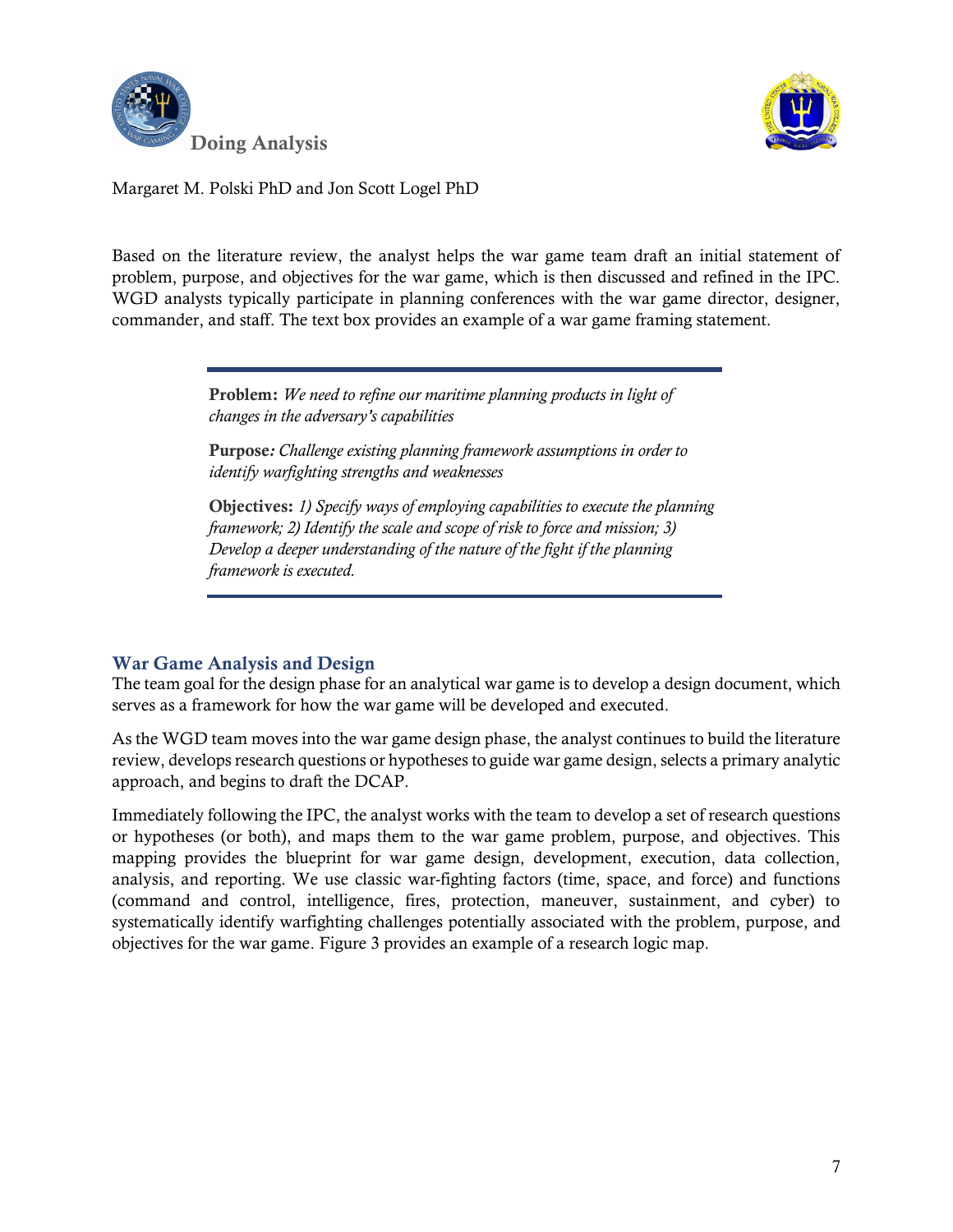



Based on the literature review, the analyst helps the war game team draft an initial statement of problem, purpose, and objectives for the war game, which is then discussed and refined in the IPC. WGD analysts typically participate in planning conferences with the war game director, designer, commander, and staff. The text box provides an example of a war game framing statement.

> Problem: *We need to refine our maritime planning products in light of changes in the adversary's capabilities*

Purpose*: Challenge existing planning framework assumptions in order to identify warfighting strengths and weaknesses*

Objectives: *1) Specify ways of employing capabilities to execute the planning framework; 2) Identify the scale and scope of risk to force and mission; 3) Develop a deeper understanding of the nature of the fight if the planning framework is executed.*

# War Game Analysis and Design

The team goal for the design phase for an analytical war game is to develop a design document, which serves as a framework for how the war game will be developed and executed.

As the WGD team moves into the war game design phase, the analyst continues to build the literature review, develops research questions or hypotheses to guide war game design, selects a primary analytic approach, and begins to draft the DCAP.

Immediately following the IPC, the analyst works with the team to develop a set of research questions or hypotheses (or both), and maps them to the war game problem, purpose, and objectives. This mapping provides the blueprint for war game design, development, execution, data collection, analysis, and reporting. We use classic war-fighting factors (time, space, and force) and functions (command and control, intelligence, fires, protection, maneuver, sustainment, and cyber) to systematically identify warfighting challenges potentially associated with the problem, purpose, and objectives for the war game. Figure 3 provides an example of a research logic map.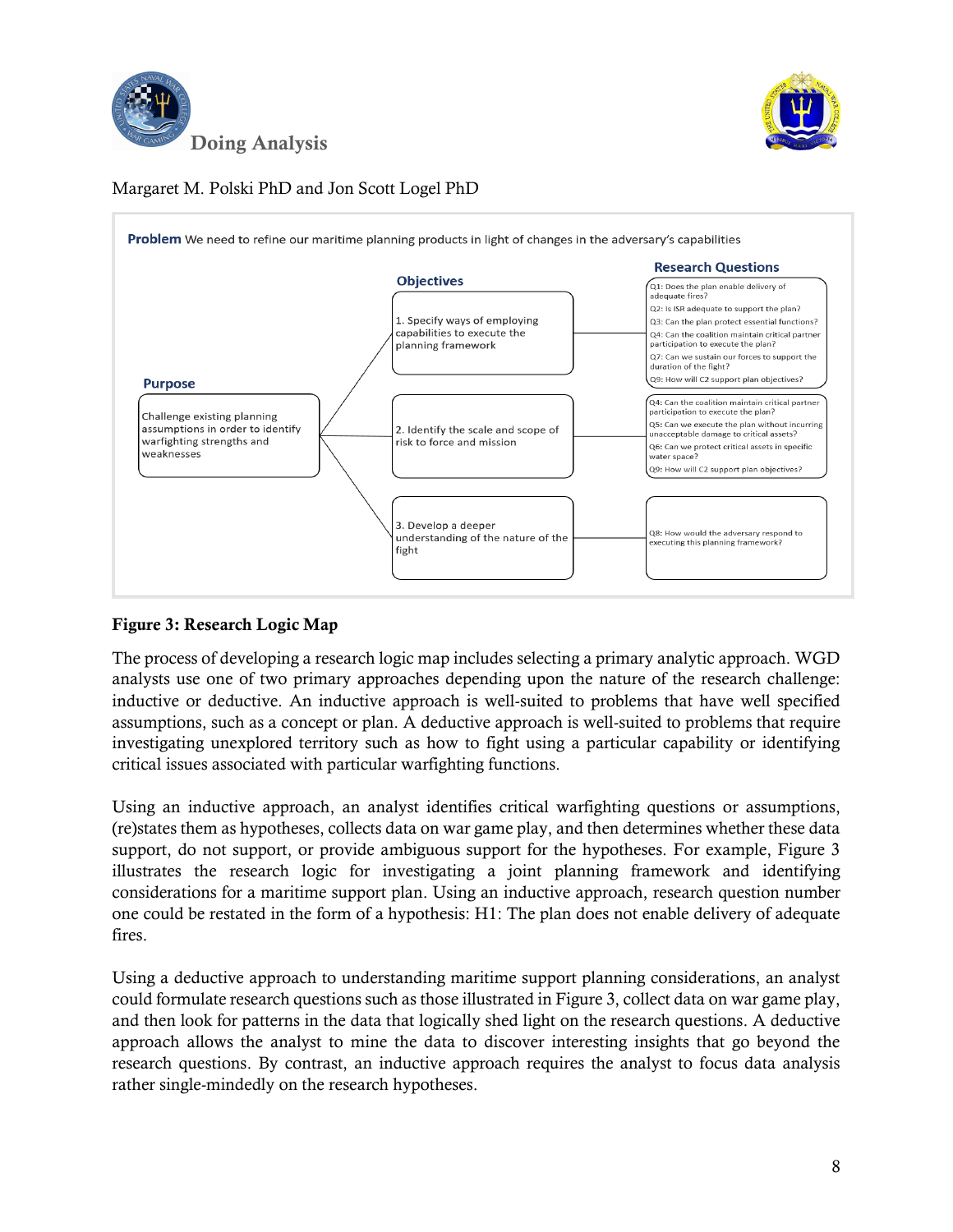





#### Figure 3: Research Logic Map

The process of developing a research logic map includes selecting a primary analytic approach. WGD analysts use one of two primary approaches depending upon the nature of the research challenge: inductive or deductive. An inductive approach is well-suited to problems that have well specified assumptions, such as a concept or plan. A deductive approach is well-suited to problems that require investigating unexplored territory such as how to fight using a particular capability or identifying critical issues associated with particular warfighting functions.

Using an inductive approach, an analyst identifies critical warfighting questions or assumptions, (re)states them as hypotheses, collects data on war game play, and then determines whether these data support, do not support, or provide ambiguous support for the hypotheses. For example, Figure 3 illustrates the research logic for investigating a joint planning framework and identifying considerations for a maritime support plan. Using an inductive approach, research question number one could be restated in the form of a hypothesis: H1: The plan does not enable delivery of adequate fires.

Using a deductive approach to understanding maritime support planning considerations, an analyst could formulate research questions such as those illustrated in Figure 3, collect data on war game play, and then look for patterns in the data that logically shed light on the research questions. A deductive approach allows the analyst to mine the data to discover interesting insights that go beyond the research questions. By contrast, an inductive approach requires the analyst to focus data analysis rather single-mindedly on the research hypotheses.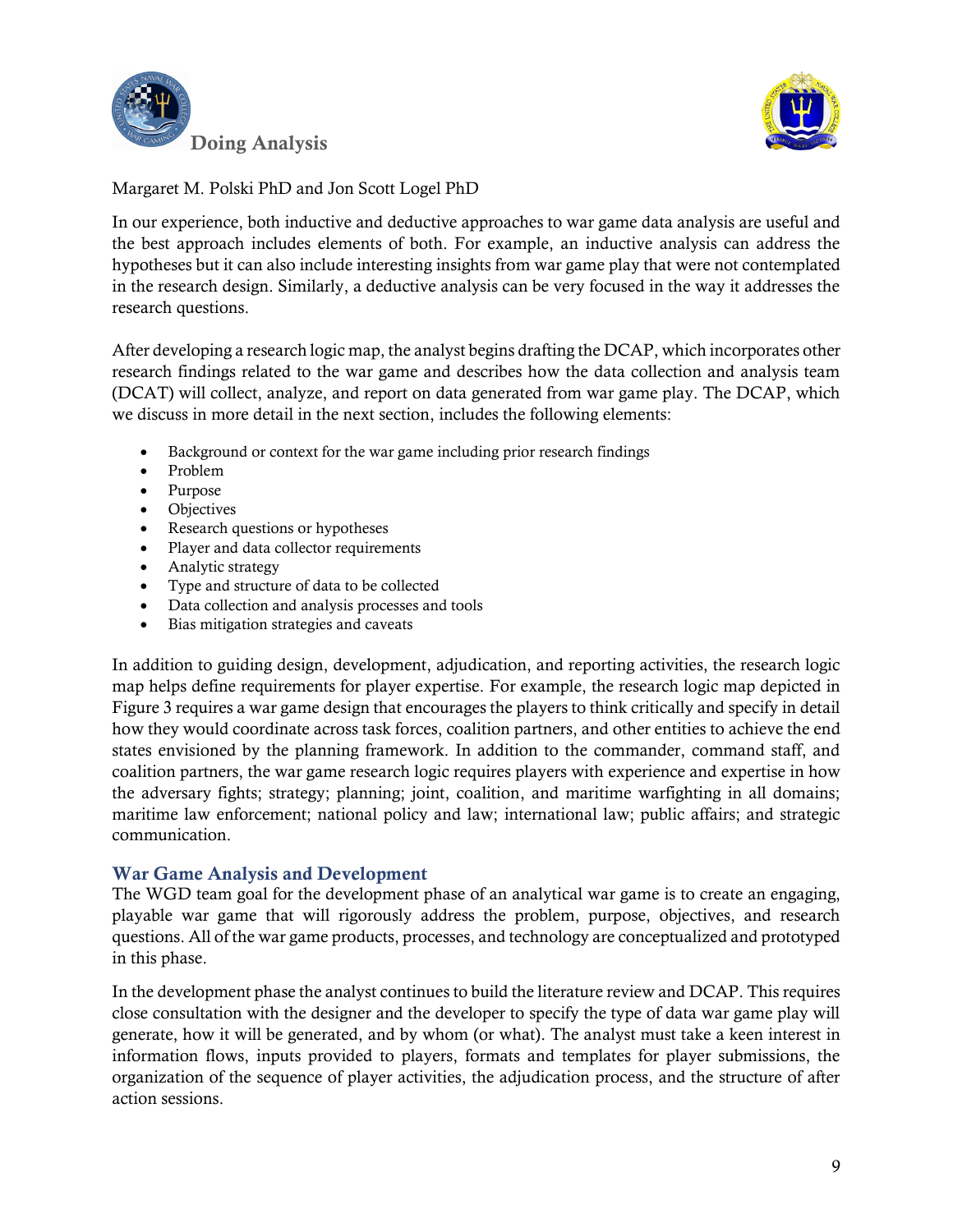



In our experience, both inductive and deductive approaches to war game data analysis are useful and the best approach includes elements of both. For example, an inductive analysis can address the hypotheses but it can also include interesting insights from war game play that were not contemplated in the research design. Similarly, a deductive analysis can be very focused in the way it addresses the research questions.

After developing a research logic map, the analyst begins drafting the DCAP, which incorporates other research findings related to the war game and describes how the data collection and analysis team (DCAT) will collect, analyze, and report on data generated from war game play. The DCAP, which we discuss in more detail in the next section, includes the following elements:

- Background or context for the war game including prior research findings
- Problem
- Purpose
- Objectives
- Research questions or hypotheses
- Player and data collector requirements
- Analytic strategy
- Type and structure of data to be collected
- Data collection and analysis processes and tools
- Bias mitigation strategies and caveats

In addition to guiding design, development, adjudication, and reporting activities, the research logic map helps define requirements for player expertise. For example, the research logic map depicted in Figure 3 requires a war game design that encourages the players to think critically and specify in detail how they would coordinate across task forces, coalition partners, and other entities to achieve the end states envisioned by the planning framework. In addition to the commander, command staff, and coalition partners, the war game research logic requires players with experience and expertise in how the adversary fights; strategy; planning; joint, coalition, and maritime warfighting in all domains; maritime law enforcement; national policy and law; international law; public affairs; and strategic communication.

#### War Game Analysis and Development

The WGD team goal for the development phase of an analytical war game is to create an engaging, playable war game that will rigorously address the problem, purpose, objectives, and research questions. All of the war game products, processes, and technology are conceptualized and prototyped in this phase.

In the development phase the analyst continues to build the literature review and DCAP. This requires close consultation with the designer and the developer to specify the type of data war game play will generate, how it will be generated, and by whom (or what). The analyst must take a keen interest in information flows, inputs provided to players, formats and templates for player submissions, the organization of the sequence of player activities, the adjudication process, and the structure of after action sessions.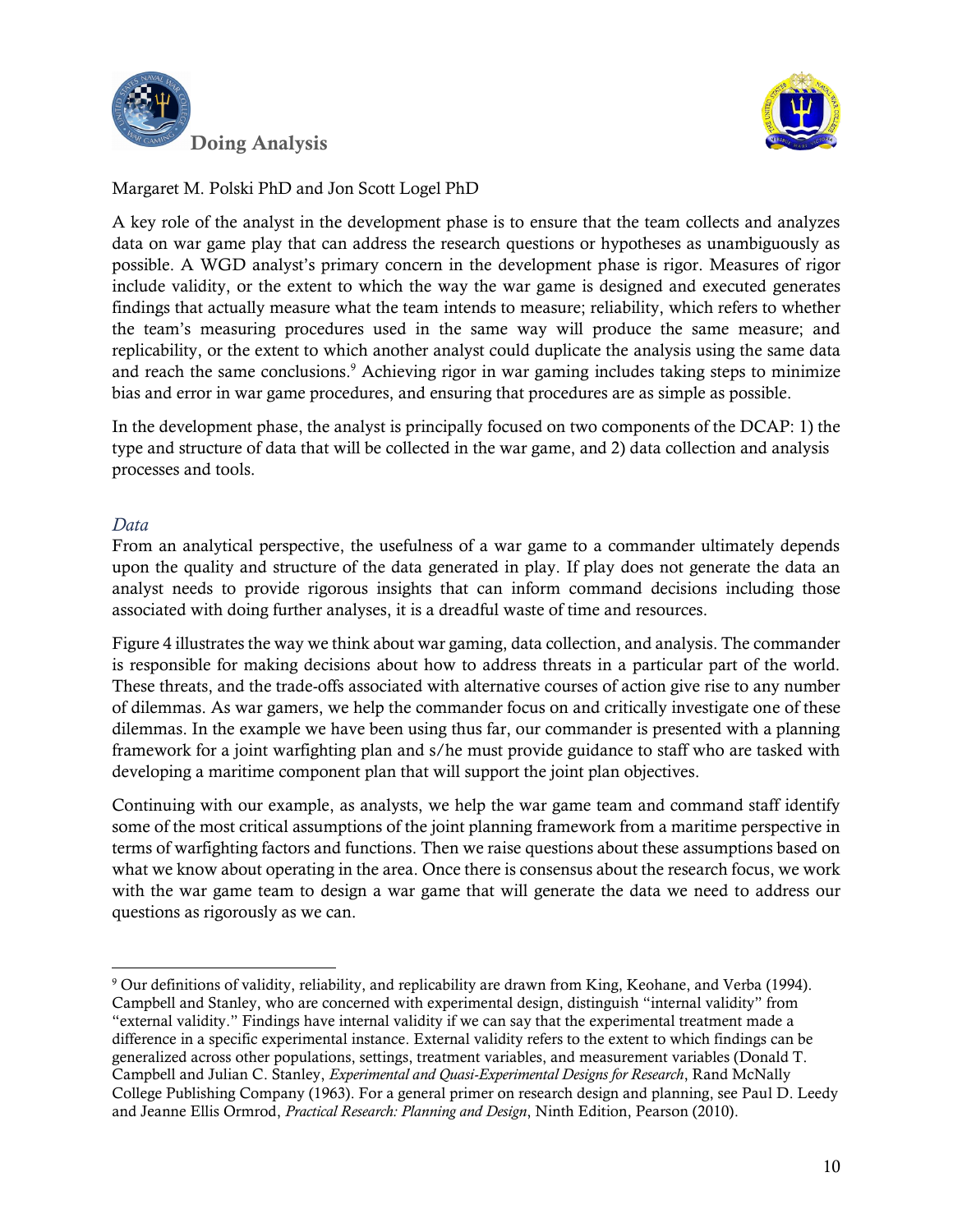



A key role of the analyst in the development phase is to ensure that the team collects and analyzes data on war game play that can address the research questions or hypotheses as unambiguously as possible. A WGD analyst's primary concern in the development phase is rigor. Measures of rigor include validity, or the extent to which the way the war game is designed and executed generates findings that actually measure what the team intends to measure; reliability, which refers to whether the team's measuring procedures used in the same way will produce the same measure; and replicability, or the extent to which another analyst could duplicate the analysis using the same data and reach the same conclusions.<sup>9</sup> Achieving rigor in war gaming includes taking steps to minimize bias and error in war game procedures, and ensuring that procedures are as simple as possible.

In the development phase, the analyst is principally focused on two components of the DCAP: 1) the type and structure of data that will be collected in the war game, and 2) data collection and analysis processes and tools.

#### *Data*

l

From an analytical perspective, the usefulness of a war game to a commander ultimately depends upon the quality and structure of the data generated in play. If play does not generate the data an analyst needs to provide rigorous insights that can inform command decisions including those associated with doing further analyses, it is a dreadful waste of time and resources.

Figure 4 illustrates the way we think about war gaming, data collection, and analysis. The commander is responsible for making decisions about how to address threats in a particular part of the world. These threats, and the trade-offs associated with alternative courses of action give rise to any number of dilemmas. As war gamers, we help the commander focus on and critically investigate one of these dilemmas. In the example we have been using thus far, our commander is presented with a planning framework for a joint warfighting plan and s/he must provide guidance to staff who are tasked with developing a maritime component plan that will support the joint plan objectives.

Continuing with our example, as analysts, we help the war game team and command staff identify some of the most critical assumptions of the joint planning framework from a maritime perspective in terms of warfighting factors and functions. Then we raise questions about these assumptions based on what we know about operating in the area. Once there is consensus about the research focus, we work with the war game team to design a war game that will generate the data we need to address our questions as rigorously as we can.

<sup>9</sup> Our definitions of validity, reliability, and replicability are drawn from King, Keohane, and Verba (1994). Campbell and Stanley, who are concerned with experimental design, distinguish "internal validity" from "external validity." Findings have internal validity if we can say that the experimental treatment made a difference in a specific experimental instance. External validity refers to the extent to which findings can be generalized across other populations, settings, treatment variables, and measurement variables (Donald T. Campbell and Julian C. Stanley, *Experimental and Quasi-Experimental Designs for Research*, Rand McNally College Publishing Company (1963). For a general primer on research design and planning, see Paul D. Leedy and Jeanne Ellis Ormrod, *Practical Research: Planning and Design*, Ninth Edition, Pearson (2010).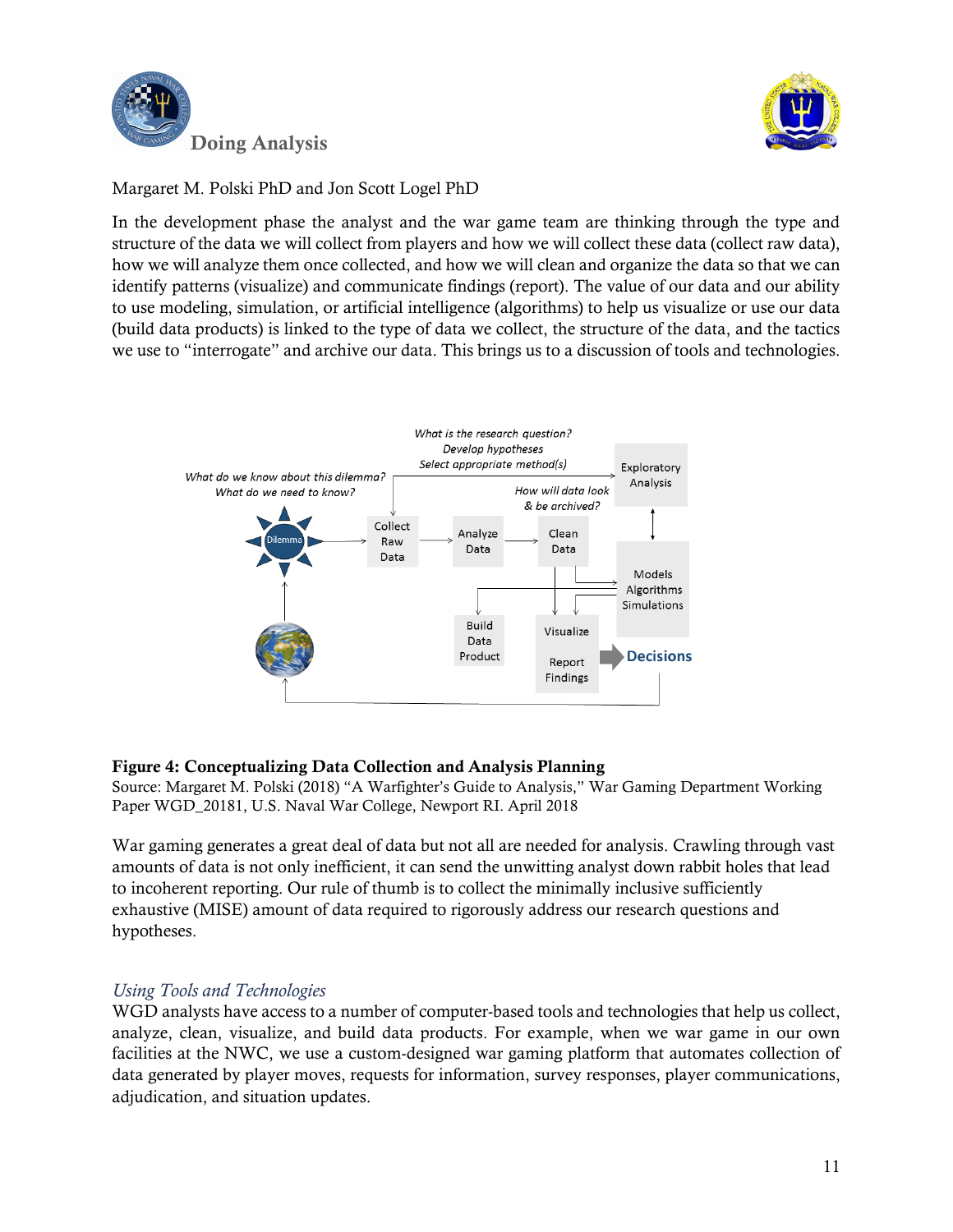



In the development phase the analyst and the war game team are thinking through the type and structure of the data we will collect from players and how we will collect these data (collect raw data), how we will analyze them once collected, and how we will clean and organize the data so that we can identify patterns (visualize) and communicate findings (report). The value of our data and our ability to use modeling, simulation, or artificial intelligence (algorithms) to help us visualize or use our data (build data products) is linked to the type of data we collect, the structure of the data, and the tactics we use to "interrogate" and archive our data. This brings us to a discussion of tools and technologies.



# Figure 4: Conceptualizing Data Collection and Analysis Planning

Source: Margaret M. Polski (2018) "A Warfighter's Guide to Analysis," War Gaming Department Working Paper WGD\_20181, U.S. Naval War College, Newport RI. April 2018

War gaming generates a great deal of data but not all are needed for analysis. Crawling through vast amounts of data is not only inefficient, it can send the unwitting analyst down rabbit holes that lead to incoherent reporting. Our rule of thumb is to collect the minimally inclusive sufficiently exhaustive (MISE) amount of data required to rigorously address our research questions and hypotheses.

# *Using Tools and Technologies*

WGD analysts have access to a number of computer-based tools and technologies that help us collect, analyze, clean, visualize, and build data products. For example, when we war game in our own facilities at the NWC, we use a custom-designed war gaming platform that automates collection of data generated by player moves, requests for information, survey responses, player communications, adjudication, and situation updates.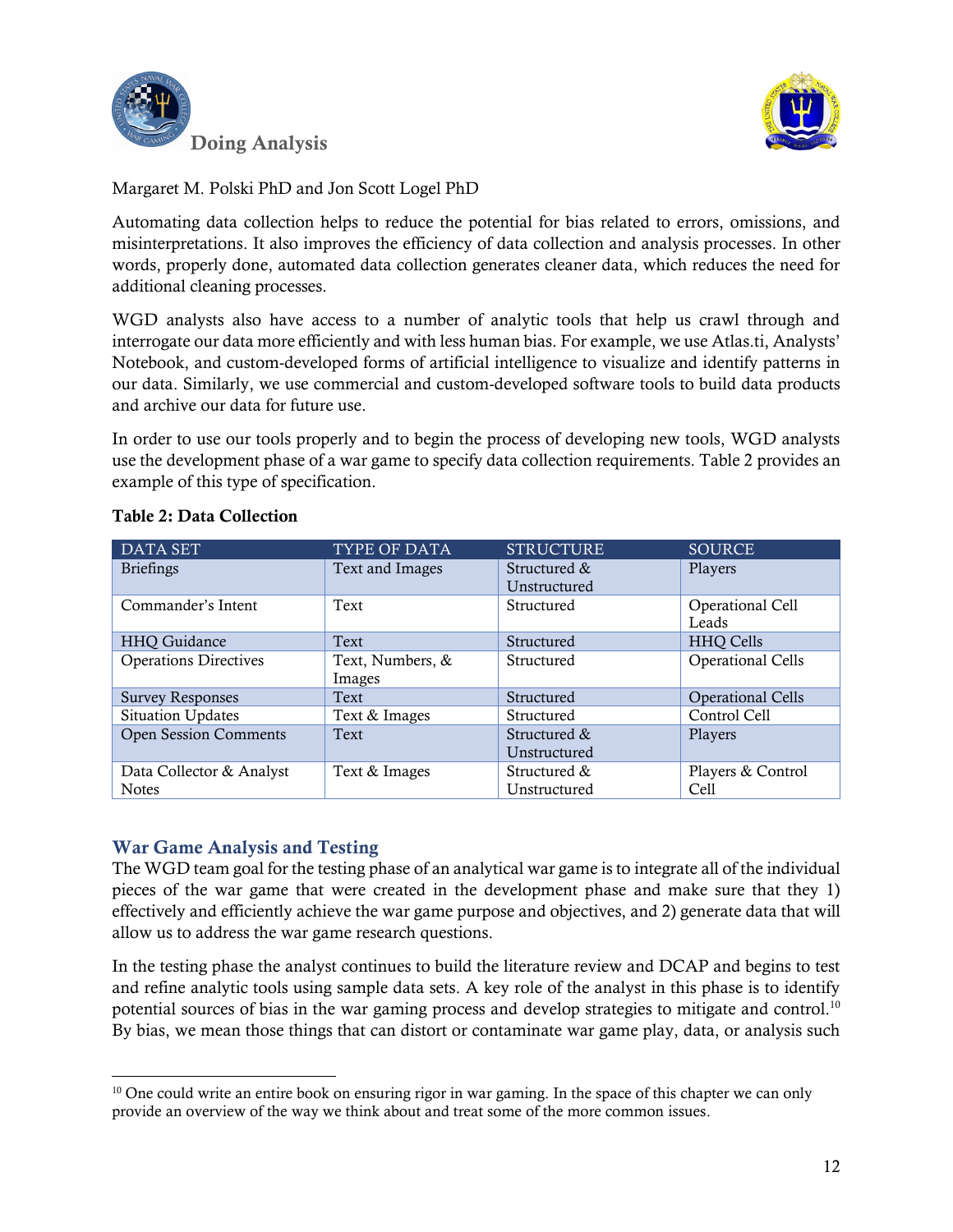



Automating data collection helps to reduce the potential for bias related to errors, omissions, and misinterpretations. It also improves the efficiency of data collection and analysis processes. In other words, properly done, automated data collection generates cleaner data, which reduces the need for additional cleaning processes.

WGD analysts also have access to a number of analytic tools that help us crawl through and interrogate our data more efficiently and with less human bias. For example, we use Atlas.ti, Analysts' Notebook, and custom-developed forms of artificial intelligence to visualize and identify patterns in our data. Similarly, we use commercial and custom-developed software tools to build data products and archive our data for future use.

In order to use our tools properly and to begin the process of developing new tools, WGD analysts use the development phase of a war game to specify data collection requirements. Table 2 provides an example of this type of specification.

| <b>DATA SET</b>              | TYPE OF DATA     | <b>STRUCTURE</b> | <b>SOURCE</b>            |
|------------------------------|------------------|------------------|--------------------------|
| <b>Briefings</b>             | Text and Images  | Structured &     | Players                  |
|                              |                  | Unstructured     |                          |
| Commander's Intent           | Text             | Structured       | Operational Cell         |
|                              |                  |                  | Leads                    |
| HHQ Guidance                 | Text             | Structured       | <b>HHQ Cells</b>         |
| <b>Operations Directives</b> | Text, Numbers, & | Structured       | <b>Operational Cells</b> |
|                              | Images           |                  |                          |
| <b>Survey Responses</b>      | Text             | Structured       | <b>Operational Cells</b> |
| Situation Updates            | Text & Images    | Structured       | Control Cell             |
| <b>Open Session Comments</b> | Text             | Structured &     | Players                  |
|                              |                  | Unstructured     |                          |
| Data Collector & Analyst     | Text & Images    | Structured &     | Players & Control        |
| <b>Notes</b>                 |                  | Unstructured     | Cell                     |

#### Table 2: Data Collection

# War Game Analysis and Testing

l

The WGD team goal for the testing phase of an analytical war game is to integrate all of the individual pieces of the war game that were created in the development phase and make sure that they 1) effectively and efficiently achieve the war game purpose and objectives, and 2) generate data that will allow us to address the war game research questions.

In the testing phase the analyst continues to build the literature review and DCAP and begins to test and refine analytic tools using sample data sets. A key role of the analyst in this phase is to identify potential sources of bias in the war gaming process and develop strategies to mitigate and control.<sup>10</sup> By bias, we mean those things that can distort or contaminate war game play, data, or analysis such

<sup>&</sup>lt;sup>10</sup> One could write an entire book on ensuring rigor in war gaming. In the space of this chapter we can only provide an overview of the way we think about and treat some of the more common issues.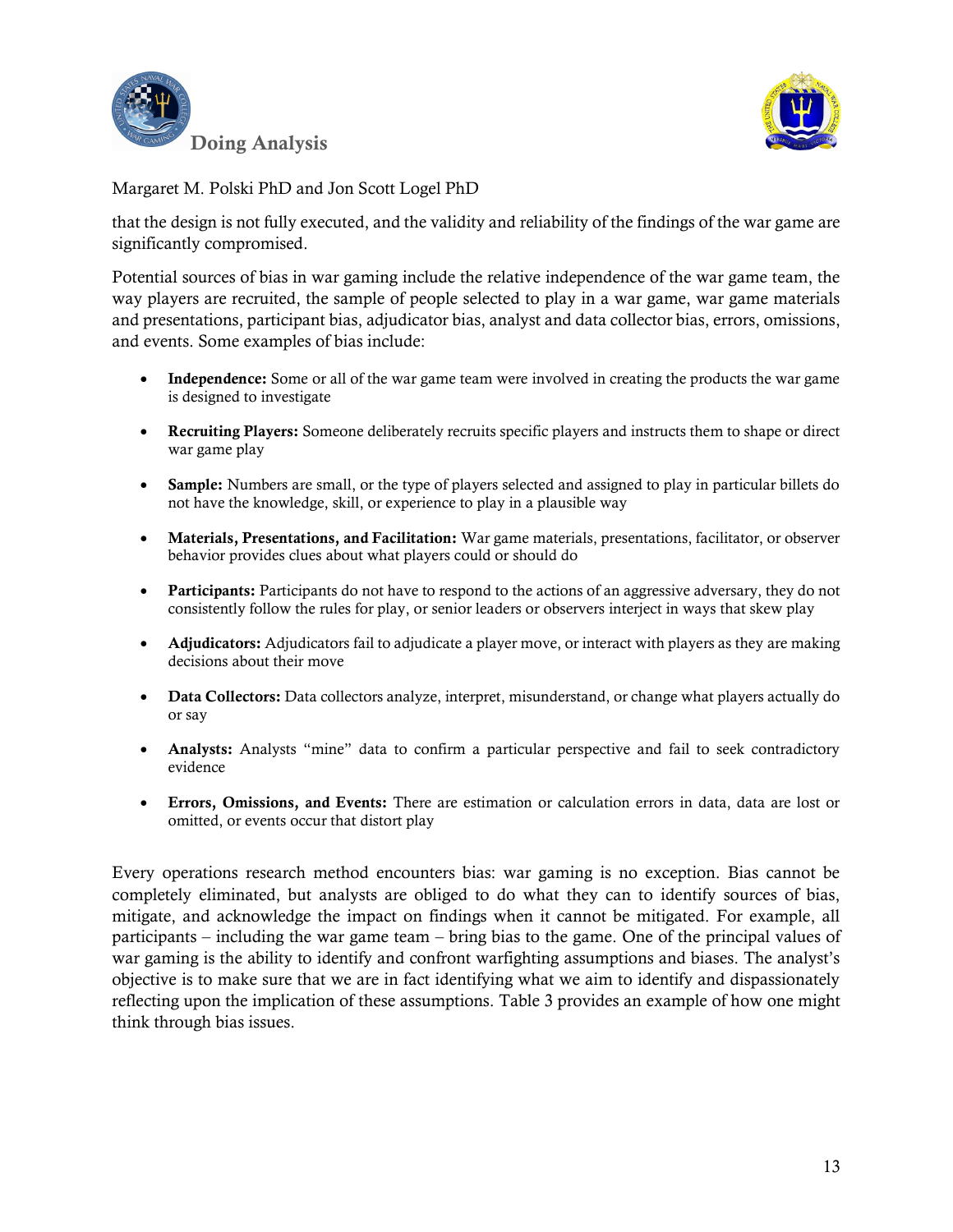



that the design is not fully executed, and the validity and reliability of the findings of the war game are significantly compromised.

Potential sources of bias in war gaming include the relative independence of the war game team, the way players are recruited, the sample of people selected to play in a war game, war game materials and presentations, participant bias, adjudicator bias, analyst and data collector bias, errors, omissions, and events. Some examples of bias include:

- Independence: Some or all of the war game team were involved in creating the products the war game is designed to investigate
- Recruiting Players: Someone deliberately recruits specific players and instructs them to shape or direct war game play
- Sample: Numbers are small, or the type of players selected and assigned to play in particular billets do not have the knowledge, skill, or experience to play in a plausible way
- Materials, Presentations, and Facilitation: War game materials, presentations, facilitator, or observer behavior provides clues about what players could or should do
- Participants: Participants do not have to respond to the actions of an aggressive adversary, they do not consistently follow the rules for play, or senior leaders or observers interject in ways that skew play
- Adjudicators: Adjudicators fail to adjudicate a player move, or interact with players as they are making decisions about their move
- Data Collectors: Data collectors analyze, interpret, misunderstand, or change what players actually do or say
- Analysts: Analysts "mine" data to confirm a particular perspective and fail to seek contradictory evidence
- Errors, Omissions, and Events: There are estimation or calculation errors in data, data are lost or omitted, or events occur that distort play

Every operations research method encounters bias: war gaming is no exception. Bias cannot be completely eliminated, but analysts are obliged to do what they can to identify sources of bias, mitigate, and acknowledge the impact on findings when it cannot be mitigated. For example, all participants – including the war game team – bring bias to the game. One of the principal values of war gaming is the ability to identify and confront warfighting assumptions and biases. The analyst's objective is to make sure that we are in fact identifying what we aim to identify and dispassionately reflecting upon the implication of these assumptions. Table 3 provides an example of how one might think through bias issues.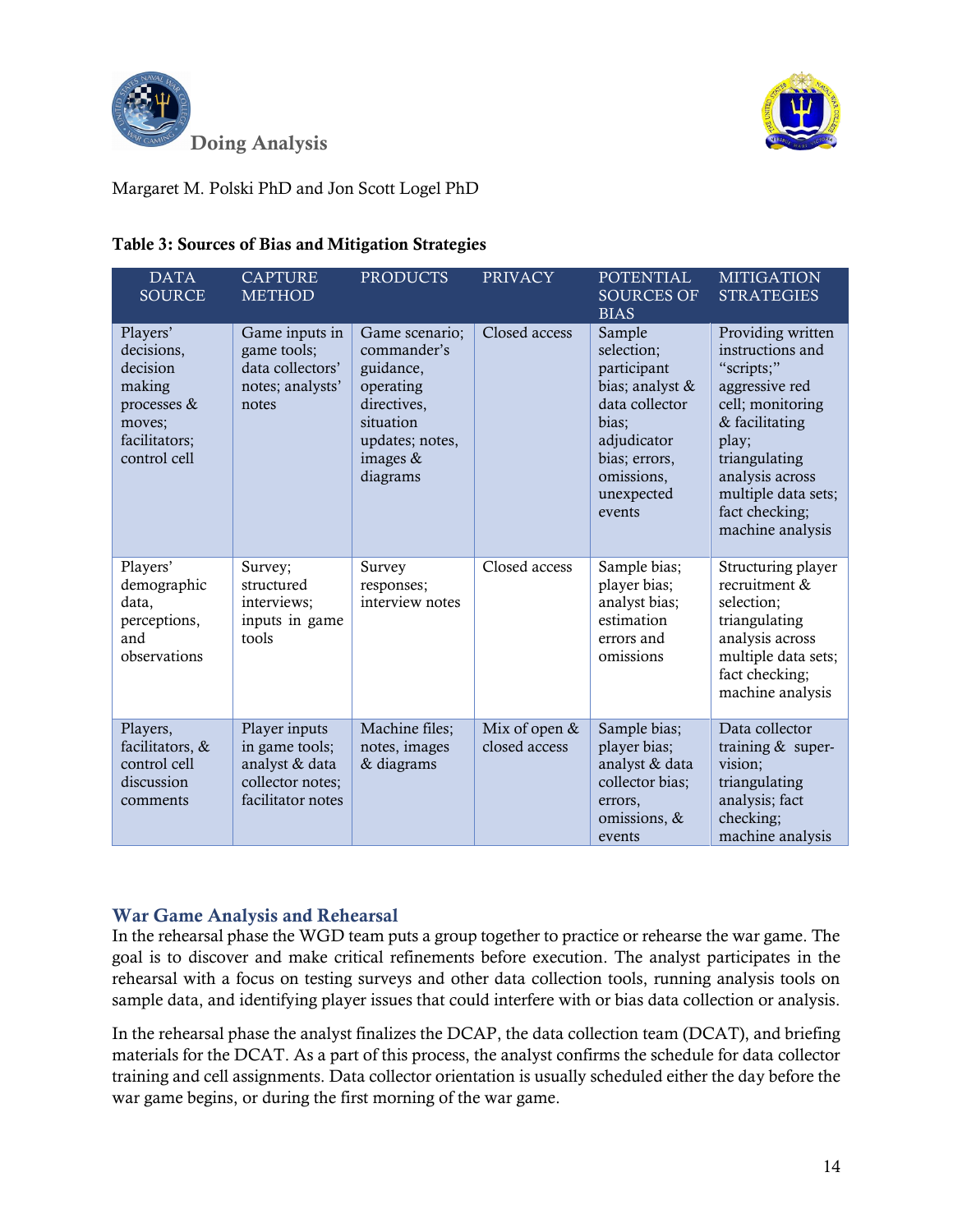



| <b>DATA</b><br><b>SOURCE</b>                                                                           | <b>CAPTURE</b><br><b>METHOD</b>                                                            | <b>PRODUCTS</b>                                                                                                                  | <b>PRIVACY</b>                   | <b>POTENTIAL</b><br><b>SOURCES OF</b><br><b>BIAS</b>                                                                                                    | <b>MITIGATION</b><br><b>STRATEGIES</b>                                                                                                                                                                                |
|--------------------------------------------------------------------------------------------------------|--------------------------------------------------------------------------------------------|----------------------------------------------------------------------------------------------------------------------------------|----------------------------------|---------------------------------------------------------------------------------------------------------------------------------------------------------|-----------------------------------------------------------------------------------------------------------------------------------------------------------------------------------------------------------------------|
| Players'<br>decisions,<br>decision<br>making<br>processes &<br>moves;<br>facilitators;<br>control cell | Game inputs in<br>game tools;<br>data collectors'<br>notes; analysts'<br>notes             | Game scenario;<br>commander's<br>guidance,<br>operating<br>directives,<br>situation<br>updates; notes,<br>images $&$<br>diagrams | Closed access                    | Sample<br>selection;<br>participant<br>bias; analyst &<br>data collector<br>bias;<br>adjudicator<br>bias; errors,<br>omissions,<br>unexpected<br>events | Providing written<br>instructions and<br>"scripts;"<br>aggressive red<br>cell; monitoring<br>& facilitating<br>play;<br>triangulating<br>analysis across<br>multiple data sets;<br>fact checking;<br>machine analysis |
| Players'<br>demographic<br>data,<br>perceptions,<br>and<br>observations                                | Survey;<br>structured<br>interviews;<br>inputs in game<br>tools                            | Survey<br>responses;<br>interview notes                                                                                          | Closed access                    | Sample bias;<br>player bias;<br>analyst bias;<br>estimation<br>errors and<br>omissions                                                                  | Structuring player<br>recruitment &<br>selection;<br>triangulating<br>analysis across<br>multiple data sets;<br>fact checking;<br>machine analysis                                                                    |
| Players,<br>facilitators, &<br>control cell<br>discussion<br>comments                                  | Player inputs<br>in game tools;<br>analyst & data<br>collector notes;<br>facilitator notes | Machine files;<br>notes, images<br>& diagrams                                                                                    | Mix of open $&$<br>closed access | Sample bias;<br>player bias;<br>analyst & data<br>collector bias;<br>errors,<br>omissions, &<br>events                                                  | Data collector<br>training $&$ super-<br>vision;<br>triangulating<br>analysis; fact<br>checking;<br>machine analysis                                                                                                  |

# Table 3: Sources of Bias and Mitigation Strategies

# War Game Analysis and Rehearsal

In the rehearsal phase the WGD team puts a group together to practice or rehearse the war game. The goal is to discover and make critical refinements before execution. The analyst participates in the rehearsal with a focus on testing surveys and other data collection tools, running analysis tools on sample data, and identifying player issues that could interfere with or bias data collection or analysis.

In the rehearsal phase the analyst finalizes the DCAP, the data collection team (DCAT), and briefing materials for the DCAT. As a part of this process, the analyst confirms the schedule for data collector training and cell assignments. Data collector orientation is usually scheduled either the day before the war game begins, or during the first morning of the war game.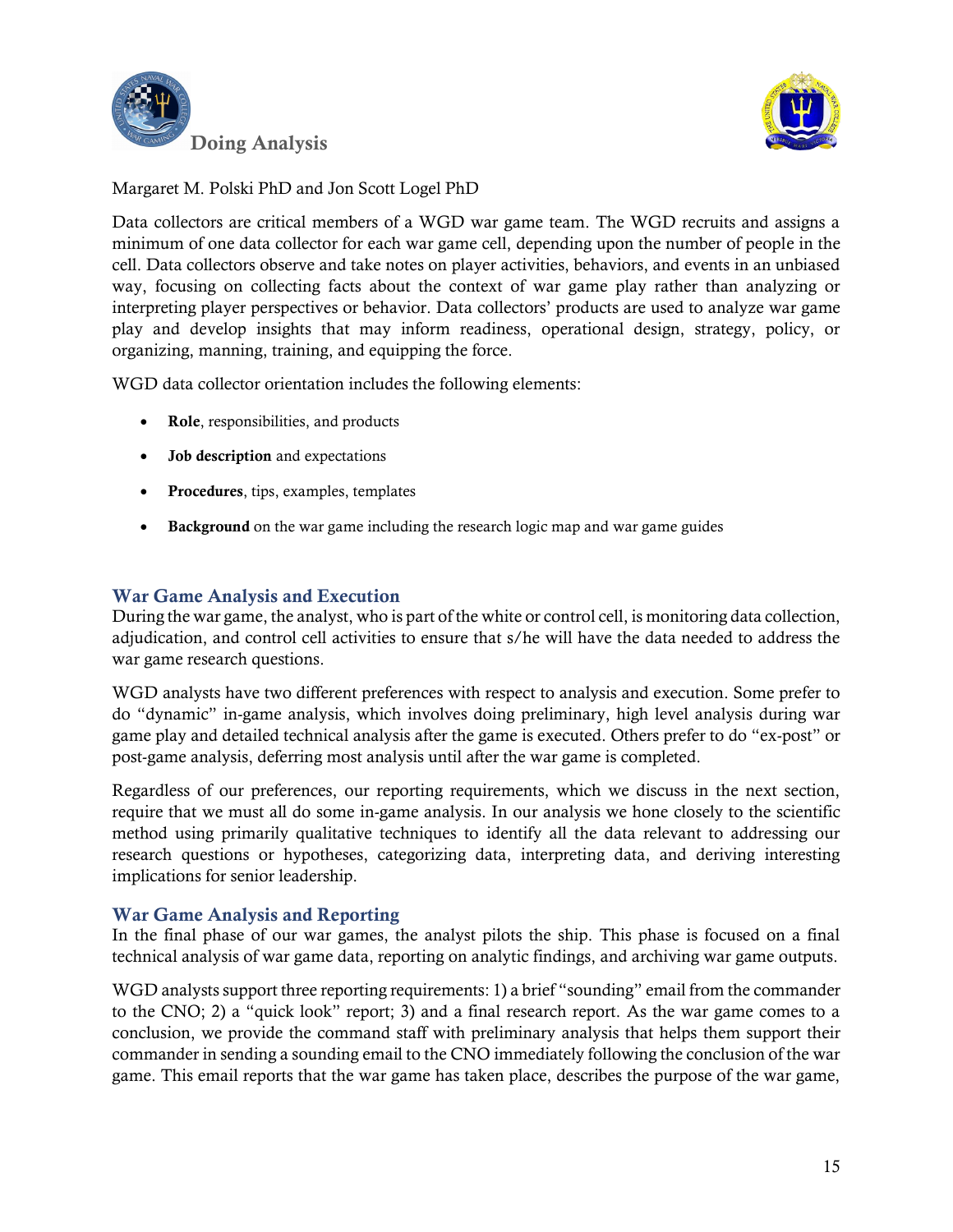



Data collectors are critical members of a WGD war game team. The WGD recruits and assigns a minimum of one data collector for each war game cell, depending upon the number of people in the cell. Data collectors observe and take notes on player activities, behaviors, and events in an unbiased way, focusing on collecting facts about the context of war game play rather than analyzing or interpreting player perspectives or behavior. Data collectors' products are used to analyze war game play and develop insights that may inform readiness, operational design, strategy, policy, or organizing, manning, training, and equipping the force.

WGD data collector orientation includes the following elements:

- Role, responsibilities, and products
- Job description and expectations
- Procedures, tips, examples, templates
- Background on the war game including the research logic map and war game guides

# War Game Analysis and Execution

During the war game, the analyst, who is part of the white or control cell, is monitoring data collection, adjudication, and control cell activities to ensure that s/he will have the data needed to address the war game research questions.

WGD analysts have two different preferences with respect to analysis and execution. Some prefer to do "dynamic" in-game analysis, which involves doing preliminary, high level analysis during war game play and detailed technical analysis after the game is executed. Others prefer to do "ex-post" or post-game analysis, deferring most analysis until after the war game is completed.

Regardless of our preferences, our reporting requirements, which we discuss in the next section, require that we must all do some in-game analysis. In our analysis we hone closely to the scientific method using primarily qualitative techniques to identify all the data relevant to addressing our research questions or hypotheses, categorizing data, interpreting data, and deriving interesting implications for senior leadership.

#### War Game Analysis and Reporting

In the final phase of our war games, the analyst pilots the ship. This phase is focused on a final technical analysis of war game data, reporting on analytic findings, and archiving war game outputs.

WGD analysts support three reporting requirements: 1) a brief "sounding" email from the commander to the CNO; 2) a "quick look" report; 3) and a final research report. As the war game comes to a conclusion, we provide the command staff with preliminary analysis that helps them support their commander in sending a sounding email to the CNO immediately following the conclusion of the war game. This email reports that the war game has taken place, describes the purpose of the war game,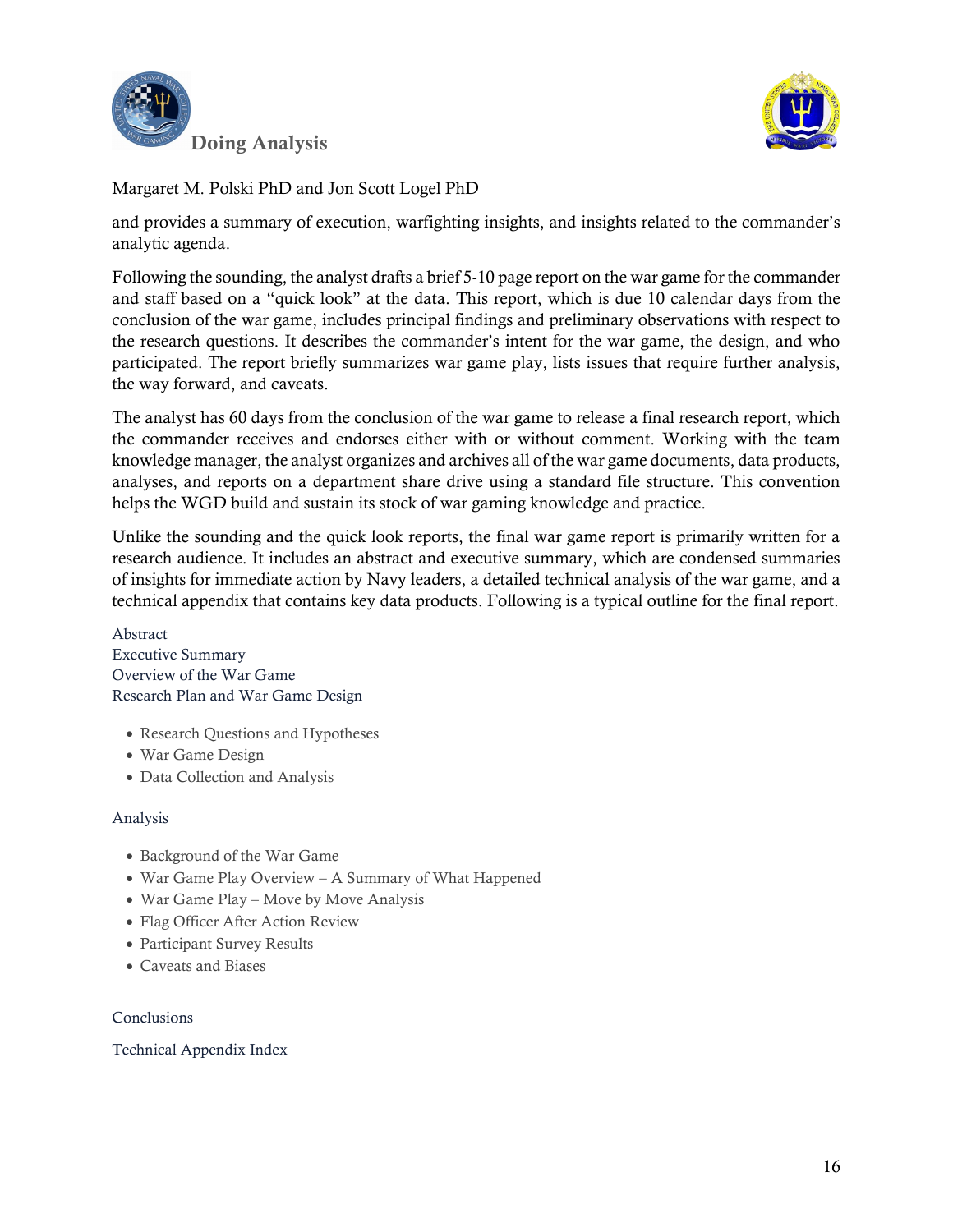



and provides a summary of execution, warfighting insights, and insights related to the commander's analytic agenda.

Following the sounding, the analyst drafts a brief 5-10 page report on the war game for the commander and staff based on a "quick look" at the data. This report, which is due 10 calendar days from the conclusion of the war game, includes principal findings and preliminary observations with respect to the research questions. It describes the commander's intent for the war game, the design, and who participated. The report briefly summarizes war game play, lists issues that require further analysis, the way forward, and caveats.

The analyst has 60 days from the conclusion of the war game to release a final research report, which the commander receives and endorses either with or without comment. Working with the team knowledge manager, the analyst organizes and archives all of the war game documents, data products, analyses, and reports on a department share drive using a standard file structure. This convention helps the WGD build and sustain its stock of war gaming knowledge and practice.

Unlike the sounding and the quick look reports, the final war game report is primarily written for a research audience. It includes an abstract and executive summary, which are condensed summaries of insights for immediate action by Navy leaders, a detailed technical analysis of the war game, and a technical appendix that contains key data products. Following is a typical outline for the final report.

Abstract Executive Summary Overview of the War Game Research Plan and War Game Design

- Research Questions and Hypotheses
- War Game Design
- Data Collection and Analysis

#### Analysis

- Background of the War Game
- War Game Play Overview A Summary of What Happened
- War Game Play Move by Move Analysis
- Flag Officer After Action Review
- Participant Survey Results
- Caveats and Biases

#### Conclusions

Technical Appendix Index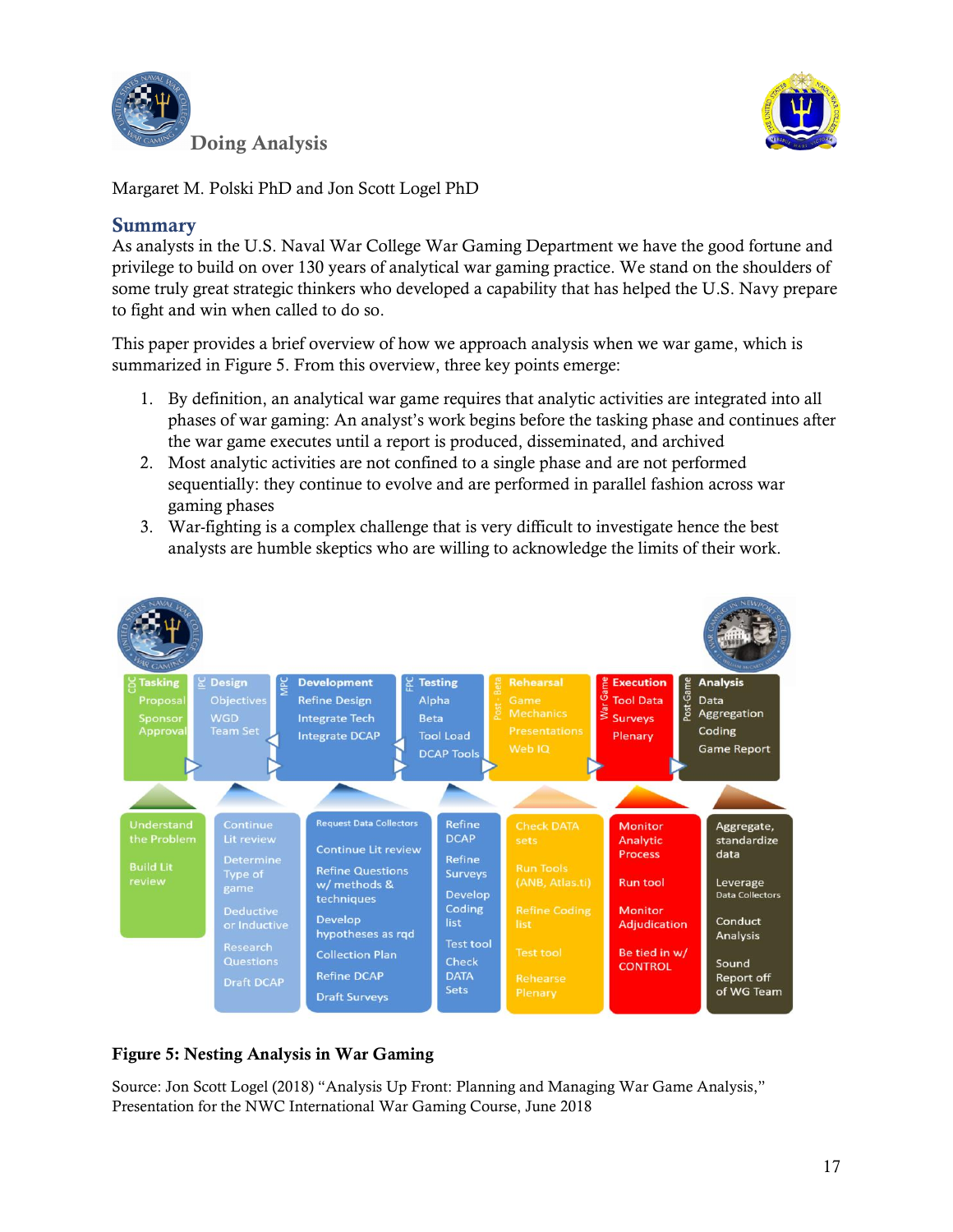



# Summary

As analysts in the U.S. Naval War College War Gaming Department we have the good fortune and privilege to build on over 130 years of analytical war gaming practice. We stand on the shoulders of some truly great strategic thinkers who developed a capability that has helped the U.S. Navy prepare to fight and win when called to do so.

This paper provides a brief overview of how we approach analysis when we war game, which is summarized in Figure 5. From this overview, three key points emerge:

- 1. By definition, an analytical war game requires that analytic activities are integrated into all phases of war gaming: An analyst's work begins before the tasking phase and continues after the war game executes until a report is produced, disseminated, and archived
- 2. Most analytic activities are not confined to a single phase and are not performed sequentially: they continue to evolve and are performed in parallel fashion across war gaming phases
- 3. War-fighting is a complex challenge that is very difficult to investigate hence the best analysts are humble skeptics who are willing to acknowledge the limits of their work.



# Figure 5: Nesting Analysis in War Gaming

Source: Jon Scott Logel (2018) "Analysis Up Front: Planning and Managing War Game Analysis," Presentation for the NWC International War Gaming Course, June 2018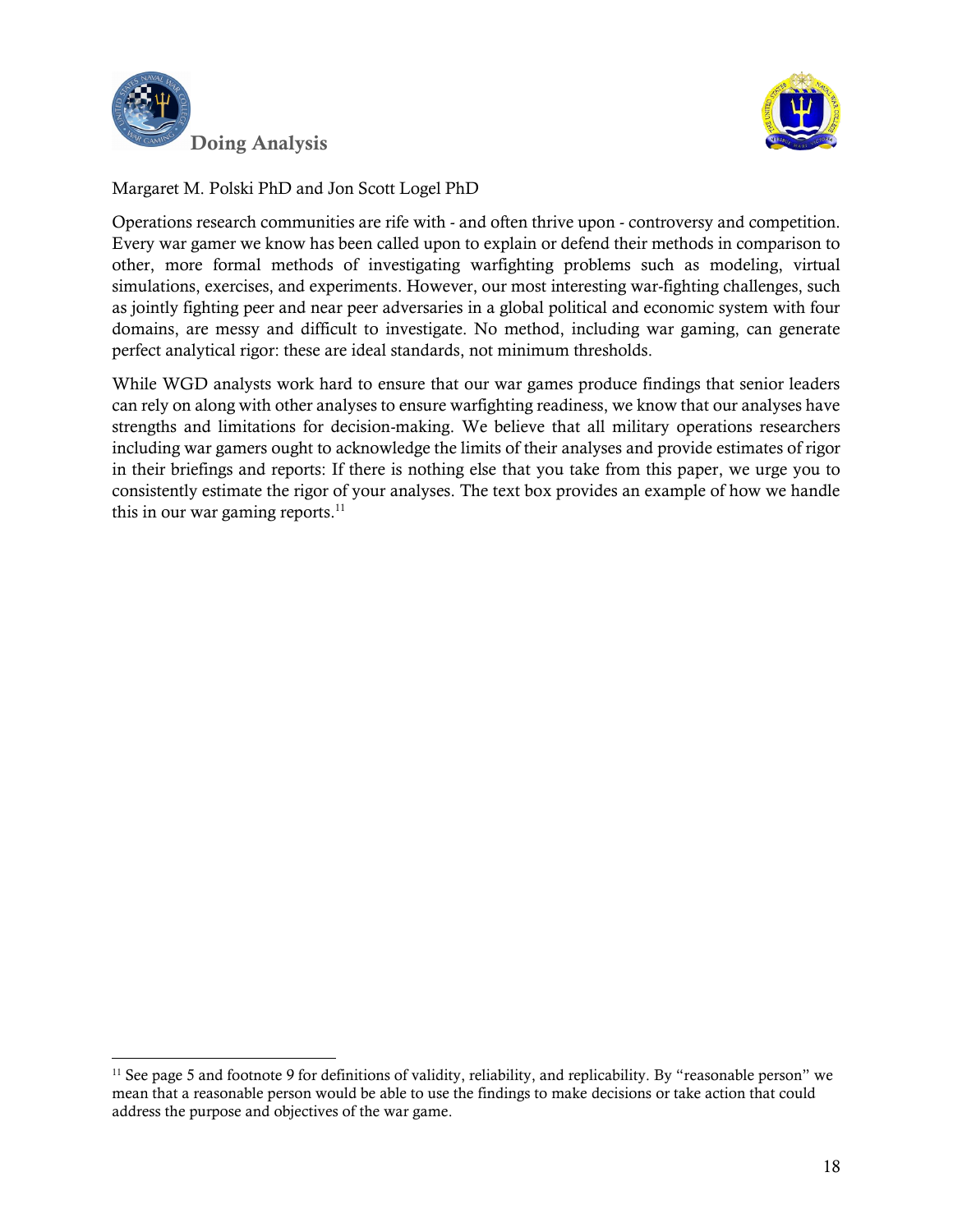

l



Margaret M. Polski PhD and Jon Scott Logel PhD

Operations research communities are rife with - and often thrive upon - controversy and competition. Every war gamer we know has been called upon to explain or defend their methods in comparison to other, more formal methods of investigating warfighting problems such as modeling, virtual simulations, exercises, and experiments. However, our most interesting war-fighting challenges, such as jointly fighting peer and near peer adversaries in a global political and economic system with four domains, are messy and difficult to investigate. No method, including war gaming, can generate perfect analytical rigor: these are ideal standards, not minimum thresholds.

While WGD analysts work hard to ensure that our war games produce findings that senior leaders can rely on along with other analyses to ensure warfighting readiness, we know that our analyses have strengths and limitations for decision-making. We believe that all military operations researchers including war gamers ought to acknowledge the limits of their analyses and provide estimates of rigor in their briefings and reports: If there is nothing else that you take from this paper, we urge you to consistently estimate the rigor of your analyses. The text box provides an example of how we handle this in our war gaming reports. $11$ 

<sup>&</sup>lt;sup>11</sup> See page 5 and footnote 9 for definitions of validity, reliability, and replicability. By "reasonable person" we mean that a reasonable person would be able to use the findings to make decisions or take action that could address the purpose and objectives of the war game.